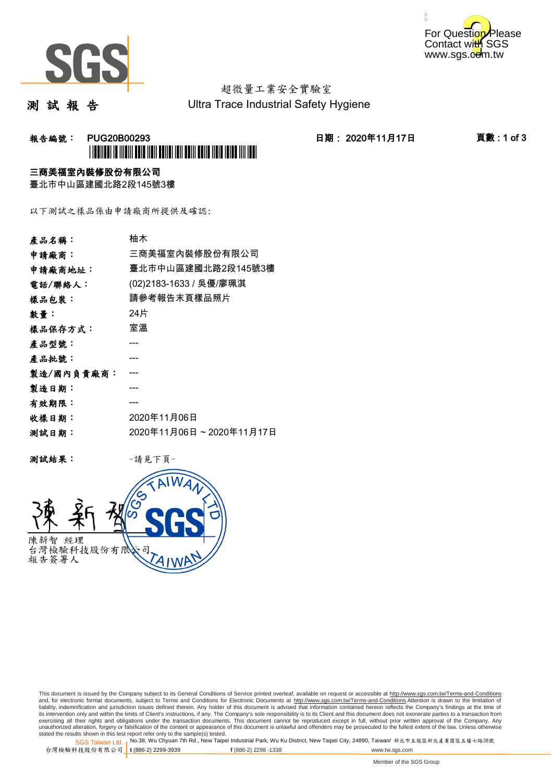



# 超微量工業安全實驗室

測 試 報 告

Ultra Trace Industrial Safety Hygiene

## **報告編號: PUG20B00293 日期: 2020年11月17日 頁數:1 of 3** \*PUG20B00293\*

### 三商美福室內裝修股份有限公司

臺北市中山區建國北路2段145號3樓

以下測試之樣品係由申請廠商所提供及確認:

| 產品名稱:      | 柚木                      |
|------------|-------------------------|
| 申請廠商:      | 三商美福室內裝修股份有限公司          |
| 申請廠商地址:    | 臺北市中山區建國北路2段145號3樓      |
| 電話/聯絡人:    | (02)2183-1633 / 吳優/廖珮淇  |
| 樣品包裝:      | 請參考報告末頁樣品照片             |
| 數量:        | 24片                     |
| 樣品保存方式:    | 室溫                      |
| 產品型號:      |                         |
| 產品批號:      |                         |
| 製造/國內負責廠商: |                         |
| 製造日期:      |                         |
| 有效期限:      |                         |
| 收樣日期:      | 2020年11月06日             |
| 測試日期:      | 2020年11月06日~2020年11月17日 |
|            |                         |

測試結果: -請見下頁-



This document is issued by the Company subject to its General Conditions of Service printed overleaf, available on request or accessible at http://www.sgs.com.tw/Terms-and-Conditions and, for electronic format documents, subject to Terms and Conditions for Electronic Documents at <u>http://www.sgs.com.tw/Terms-and-Conditions</u>.Attention is drawn to the limitation of<br>liability, indemnification and jurisdic exercising all their rights and obligations under the transaction documents. This document cannot be reproduced except in full, without prior written approval of the Company. Any<br>unauthorized alteration, forgery or falsifi

SGS Taiwan Ltd. 1 stated the results shown in this test report refer only to the sample(s) tested.<br>Stated the results shown in this test report refer only to the sample(s) tested.

台灣檢驗科技股份有限公司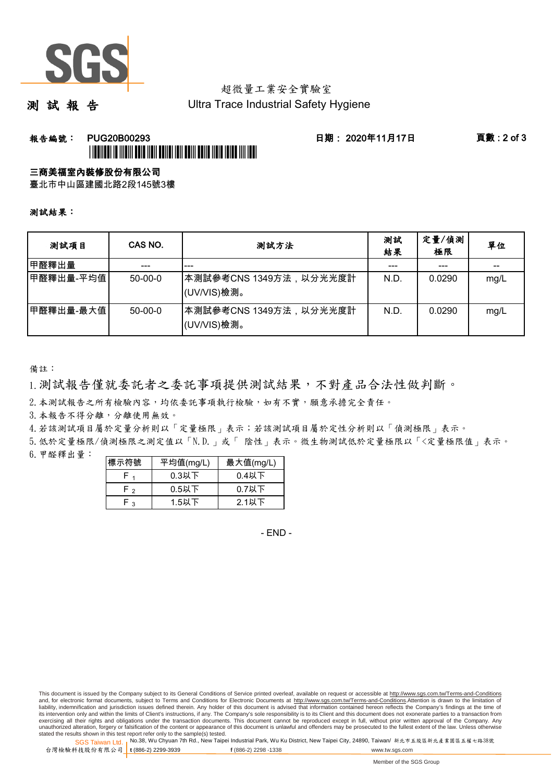

## 超微量工業安全實驗室

測 試 報 告

Ultra Trace Industrial Safety Hygiene

### 報告編號: PUG20B00293 日期: 2020年11月17日 頁數 : 2 of 3 \*PUG20B00293\*

### 三商美福室內裝修股份有限公司

臺北市中山區建國北路2段145號3樓

#### 測試結果:

| 测試項目        | CAS NO.   | 测試方法                                   | 測試<br>結果 | 定量/偵測<br>極限 | 單位   |
|-------------|-----------|----------------------------------------|----------|-------------|------|
| 甲醛釋出量       |           | ---                                    |          | ---         |      |
| │甲醛釋出量-平均值│ | $50-00-0$ | ┃本測試參考CNS 1349方法,以分光光度計<br>(UV/VIS)檢測。 | N.D.     | 0.0290      | mg/L |
| 甲醛釋出量-最大值   | $50-00-0$ | ┃本測試參考CNS 1349方法,以分光光度計<br>(UV/VIS)檢測。 | N.D.     | 0.0290      | mg/L |

備註:

1.測試報告僅就委託者之委託事項提供測試結果,不對產品合法性做判斷。

2. 本測試報告之所有檢驗內容,均依委託事項執行檢驗,如有不實,願意承擔完全責任。

3. 本報告不得分離,分離使用無效。

4.若該測試項目屬於定量分析則以「定量極限」表示;若該測試項目屬於定性分析則以「偵測極限」表示。

5.低於定量極限/偵測極限之測定值以「N.D.」或「 陰性」表示。微生物測試低於定量極限以「<定量極限值」表示。

6.甲醛釋出量:

| 標示符號 | 平均值(mg/L) | 最大值(mg/L) |  |  |
|------|-----------|-----------|--|--|
|      | $0.3$ 以下  | $0.4$ 以下  |  |  |
| r ,  | $0.5$ 以下  | $0.7$ 以下  |  |  |
| - າ  | $1.5$ 以下  | $2.1$ 以下  |  |  |

- END -

This document is issued by the Company subject to its General Conditions of Service printed overleaf, available on request or accessible at http://www.sgs.com.tw/Terms-and-Conditions and, for electronic format documents, subject to Terms and Conditions for Electronic Documents at http://www.sgs.com.tw/Terms-and-Conditions.Attention is drawn to the limitation of liability, indemnification and jurisdiction issues defined therein. Any holder of this document is advised that information contained hereon reflects the Company's findings at the time of<br>its intervention only and within t exercising all their rights and obligations under the transaction documents. This document cannot be reproduced except in full, without prior written approval of the Company. Any<br>unauthorized alteration, forgery or falsifi

SGS Taiwan Ltd. 1 stated the results shown in this test report refer only to the sample(s) tested.<br>Stated the results shown in this test report refer only to the sample(s) tested.

台灣檢驗科技股份有限公司